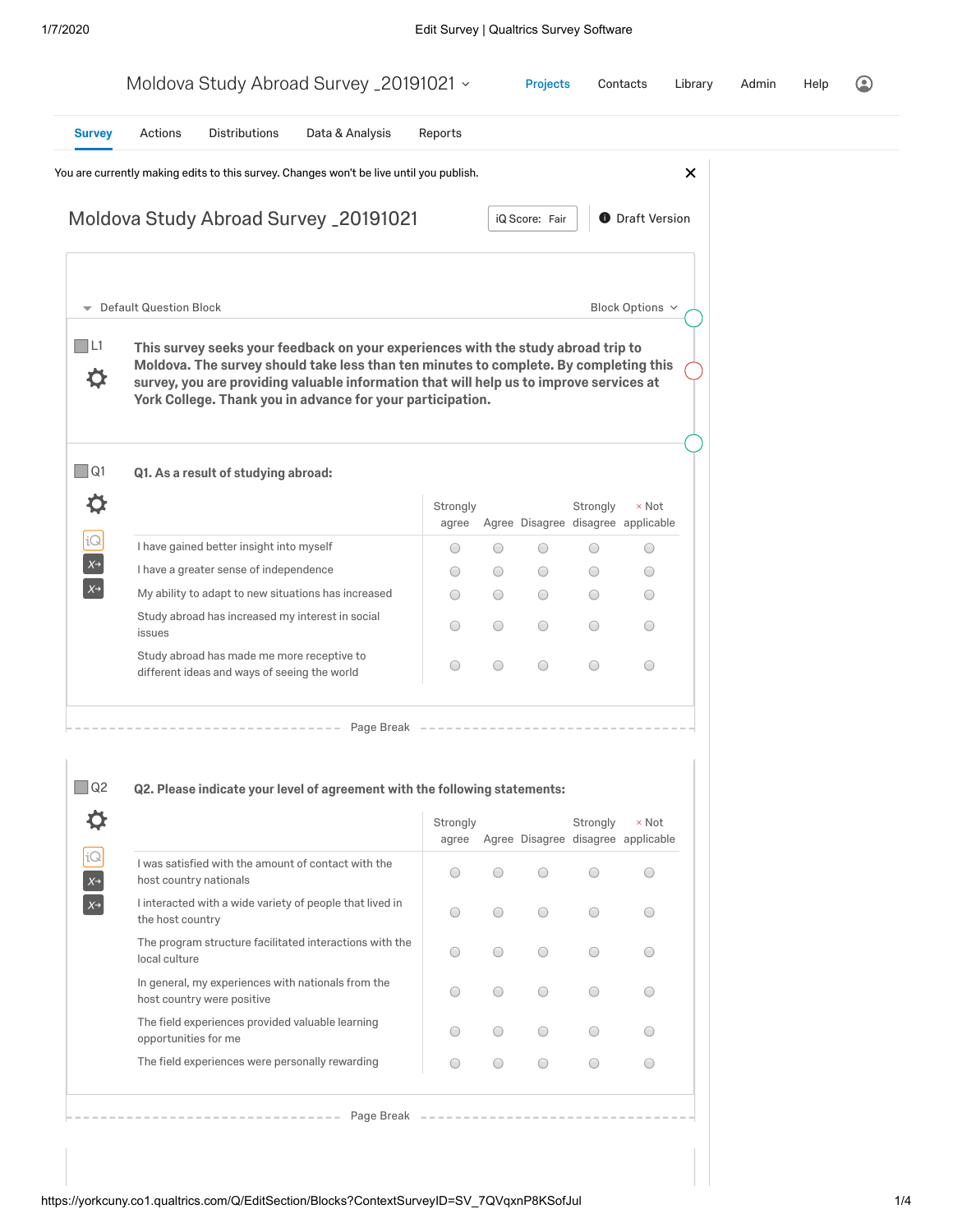|                                                                |                                            |                                                                                            | Moldova Study Abroad Survey _20191021 v                                                                                                                                                                                                                                                                                             |                                      |                          | <b>Projects</b>                                                      |                             | Contacts                                 | Library  | Admin | Help |  |
|----------------------------------------------------------------|--------------------------------------------|--------------------------------------------------------------------------------------------|-------------------------------------------------------------------------------------------------------------------------------------------------------------------------------------------------------------------------------------------------------------------------------------------------------------------------------------|--------------------------------------|--------------------------|----------------------------------------------------------------------|-----------------------------|------------------------------------------|----------|-------|------|--|
| <b>Survey</b>                                                  | Actions                                    | <b>Distributions</b>                                                                       | Data & Analysis                                                                                                                                                                                                                                                                                                                     | Reports                              |                          |                                                                      |                             |                                          |          |       |      |  |
|                                                                |                                            |                                                                                            | You are currently making edits to this survey. Changes won't be live until you publish.                                                                                                                                                                                                                                             |                                      |                          |                                                                      |                             |                                          | $\times$ |       |      |  |
|                                                                |                                            |                                                                                            | Moldova Study Abroad Survey _20191021                                                                                                                                                                                                                                                                                               |                                      |                          | iQ Score: Fair                                                       |                             | <b>O</b> Draft Version                   |          |       |      |  |
| $\overline{\phantom{0}}$                                       | Default Question Block                     |                                                                                            |                                                                                                                                                                                                                                                                                                                                     |                                      |                          |                                                                      |                             | Block Options v                          |          |       |      |  |
| $\Box$ L1<br>≎                                                 |                                            |                                                                                            | This survey seeks your feedback on your experiences with the study abroad trip to<br>Moldova. The survey should take less than ten minutes to complete. By completing this<br>survey, you are providing valuable information that will help us to improve services at<br>York College. Thank you in advance for your participation. |                                      |                          |                                                                      |                             |                                          |          |       |      |  |
| $\Box$ Q1                                                      |                                            | Q1. As a result of studying abroad:                                                        |                                                                                                                                                                                                                                                                                                                                     |                                      |                          |                                                                      |                             |                                          |          |       |      |  |
| O                                                              |                                            |                                                                                            |                                                                                                                                                                                                                                                                                                                                     | Strongly<br>agree                    |                          | Agree Disagree disagree applicable                                   | Strongly                    | $\times$ Not                             |          |       |      |  |
| iQ                                                             |                                            | I have gained better insight into myself                                                   |                                                                                                                                                                                                                                                                                                                                     | O                                    | O                        | $\bigcirc$                                                           | O                           | $\bigcirc$                               |          |       |      |  |
| $X^{\rightarrow}$                                              |                                            | I have a greater sense of independence                                                     |                                                                                                                                                                                                                                                                                                                                     | $\bigcirc$                           | O                        | $\bigcirc$                                                           | 0                           | $\bigcirc$                               |          |       |      |  |
| $X\rightarrow$                                                 |                                            |                                                                                            | My ability to adapt to new situations has increased                                                                                                                                                                                                                                                                                 | $\bigcirc$                           | $\bigcirc$               | $\bigcirc$                                                           | O                           | $\bigcirc$                               |          |       |      |  |
|                                                                | issues                                     | Study abroad has increased my interest in social                                           |                                                                                                                                                                                                                                                                                                                                     | O                                    | $\bigcirc$               | $\bigcirc$                                                           | $\bigcirc$                  | $\bigcirc$                               |          |       |      |  |
|                                                                |                                            | Study abroad has made me more receptive to<br>different ideas and ways of seeing the world |                                                                                                                                                                                                                                                                                                                                     | O                                    | $\bigcirc$               | $\bigcirc$                                                           | $\bigcirc$                  | $\bigcirc$                               |          |       |      |  |
| $\square$ Q2<br>⋫<br>iQ<br>$X^{\rightarrow}$<br>$x\rightarrow$ | host country nationals<br>the host country |                                                                                            | Page Break<br>Q2. Please indicate your level of agreement with the following statements:<br>I was satisfied with the amount of contact with the<br>I interacted with a wide variety of people that lived in                                                                                                                         | Strongly<br>$\bigcirc$<br>$\bigcirc$ | $\bigcirc$<br>$\bigcirc$ | agree Agree Disagree disagree applicable<br>$\bigcirc$<br>$\bigcirc$ | Strongly<br>O<br>$\bigcirc$ | $\times$ Not<br>$\bigcirc$<br>$\bigcirc$ |          |       |      |  |

 $\bigcirc$ 

 $\circ$ 

 $\bigcirc$ 

 $\bigcirc$ 

 $\bigcirc$ 

 $\bigcirc$ 

 $\bigcirc$ 

 $\bigcirc$ 

 $\bigcirc$ 

 $\circ$ 

 $\bigcirc$ 

 $\bigcirc$ 

 $\bigcirc$ 

 $\bigcirc$ 

 $\bigcirc$ 

 $\bigcirc$ 

 $\bigcirc$ 

 $\bigcirc$ 

 $\bigcirc$ 

 $\bigcirc$ 

 $--------------- Page Break$ 

The program structure facilitated interactions with the

In general, my experiences with nationals from the

The field experiences provided valuable learning

The field experiences were personally rewarding

local culture

host country were positive

opportunities for me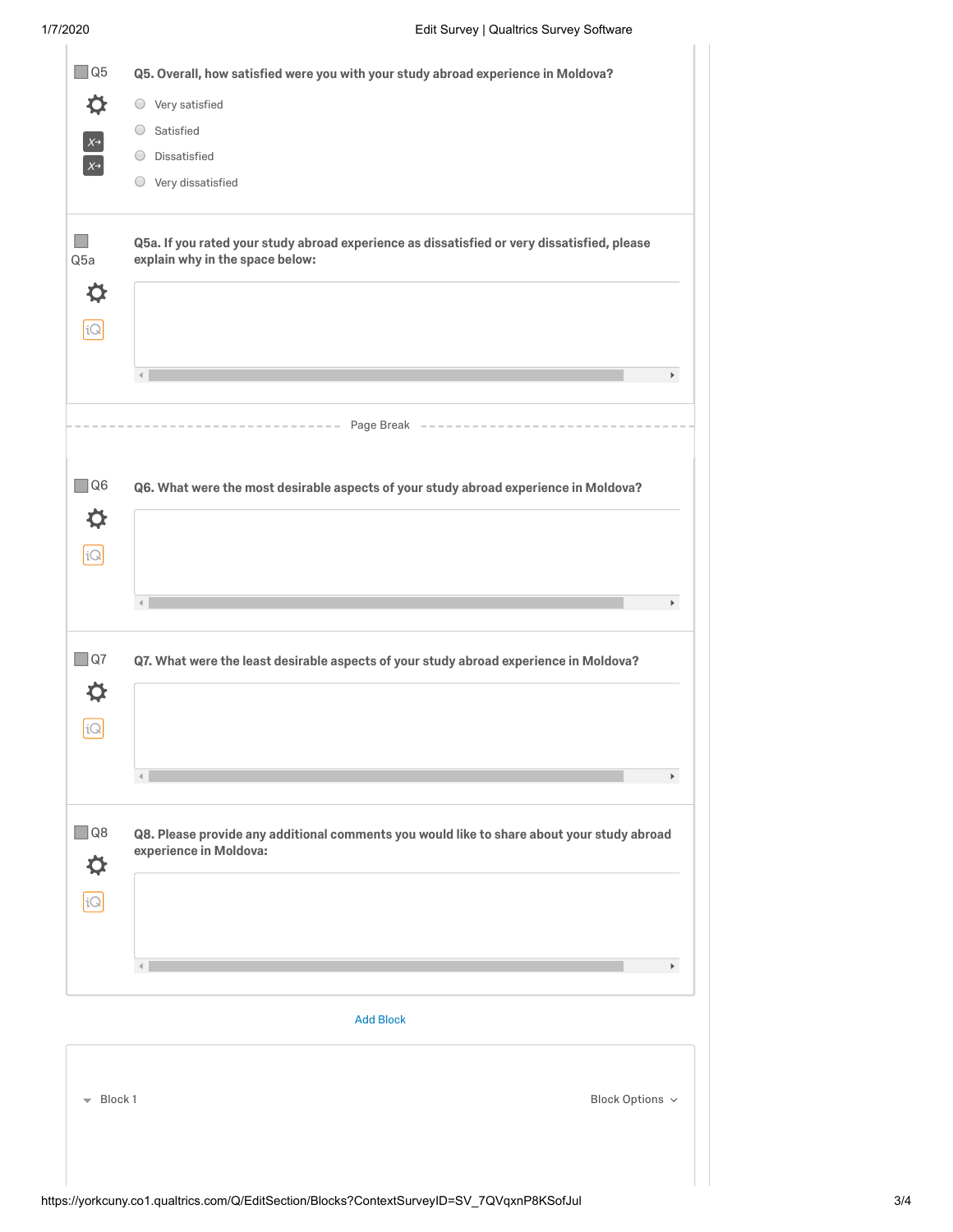| Q5                               | Q5. Overall, how satisfied were you with your study abroad experience in Moldova?                                              |
|----------------------------------|--------------------------------------------------------------------------------------------------------------------------------|
|                                  |                                                                                                                                |
| ⋫                                | $\bigcirc$ Very satisfied                                                                                                      |
| $X\rightarrow$                   | Satisfied<br>$\bigcirc$                                                                                                        |
| $X\rightarrow$                   | Dissatisfied<br>O                                                                                                              |
|                                  | Very dissatisfied<br>O                                                                                                         |
| Q5a                              | Q5a. If you rated your study abroad experience as dissatisfied or very dissatisfied, please<br>explain why in the space below: |
| ⋫                                |                                                                                                                                |
| iQ                               |                                                                                                                                |
|                                  | $\blacktriangleright$                                                                                                          |
|                                  | $--- - - -$ Page Break $--- -$                                                                                                 |
|                                  |                                                                                                                                |
| $\Box$ Q6                        | Q6. What were the most desirable aspects of your study abroad experience in Moldova?                                           |
| ⋫                                |                                                                                                                                |
| iQ                               |                                                                                                                                |
|                                  |                                                                                                                                |
|                                  | $\blacktriangleright$ .                                                                                                        |
| $\Box$ Q7                        | Q7. What were the least desirable aspects of your study abroad experience in Moldova?                                          |
| ⋫                                |                                                                                                                                |
| iQ                               |                                                                                                                                |
|                                  |                                                                                                                                |
|                                  | $\blacktriangleright$                                                                                                          |
|                                  |                                                                                                                                |
| $\Box$ Q8                        | Q8. Please provide any additional comments you would like to share about your study abroad<br>experience in Moldova:           |
| ⋫                                |                                                                                                                                |
| iQ                               |                                                                                                                                |
|                                  |                                                                                                                                |
|                                  |                                                                                                                                |
|                                  | $\blacktriangleright$                                                                                                          |
|                                  | <b>Add Block</b>                                                                                                               |
|                                  |                                                                                                                                |
| $\overline{\phantom{0}}$ Block 1 |                                                                                                                                |
|                                  | Block Options $\sim$                                                                                                           |
|                                  |                                                                                                                                |
|                                  |                                                                                                                                |